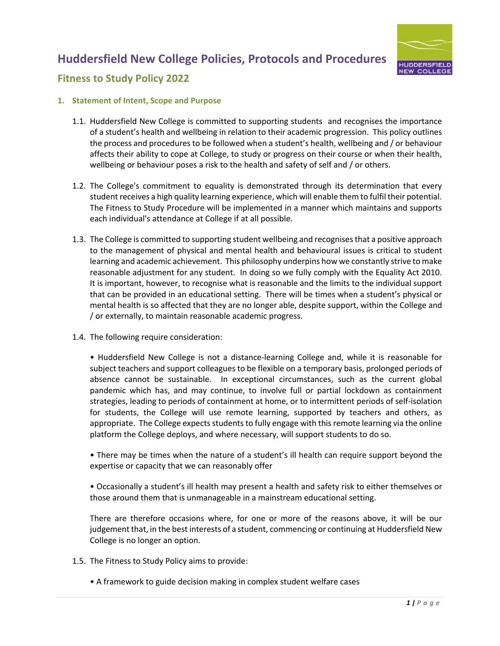

### **Fitness to Study Policy 2022**

#### **1. Statement of Intent, Scope and Purpose**

- 1.1. Huddersfield New College is committed to supporting students and recognises the importance of a student's health and wellbeing in relation to their academic progression. This policy outlines the process and procedures to be followed when a student's health, wellbeing and / or behaviour affects their ability to cope at College, to study or progress on their course or when their health, wellbeing or behaviour poses a risk to the health and safety of self and / or others.
- 1.2. The College's commitment to equality is demonstrated through its determination that every student receives a high quality learning experience, which will enable them to fulfil their potential. The Fitness to Study Procedure will be implemented in a manner which maintains and supports each individual's attendance at College if at all possible.
- 1.3. The College is committed to supporting student wellbeing and recognises that a positive approach to the management of physical and mental health and behavioural issues is critical to student learning and academic achievement. This philosophy underpins how we constantly strive to make reasonable adjustment for any student. In doing so we fully comply with the Equality Act 2010. It is important, however, to recognise what is reasonable and the limits to the individual support that can be provided in an educational setting. There will be times when a student's physical or mental health is so affected that they are no longer able, despite support, within the College and / or externally, to maintain reasonable academic progress.
- 1.4. The following require consideration:

• Huddersfield New College is not a distance-learning College and, while it is reasonable for subject teachers and support colleagues to be flexible on a temporary basis, prolonged periods of absence cannot be sustainable. In exceptional circumstances, such as the current global pandemic which has, and may continue, to involve full or partial lockdown as containment strategies, leading to periods of containment at home, or to intermittent periods of self-isolation for students, the College will use remote learning, supported by teachers and others, as appropriate. The College expects students to fully engage with this remote learning via the online platform the College deploys, and where necessary, will support students to do so.

• There may be times when the nature of a student's ill health can require support beyond the expertise or capacity that we can reasonably offer

• Occasionally a student's ill health may present a health and safety risk to either themselves or those around them that is unmanageable in a mainstream educational setting.

There are therefore occasions where, for one or more of the reasons above, it will be our judgement that, in the best interests of a student, commencing or continuing at Huddersfield New College is no longer an option.

- 1.5. The Fitness to Study Policy aims to provide:
	- A framework to guide decision making in complex student welfare cases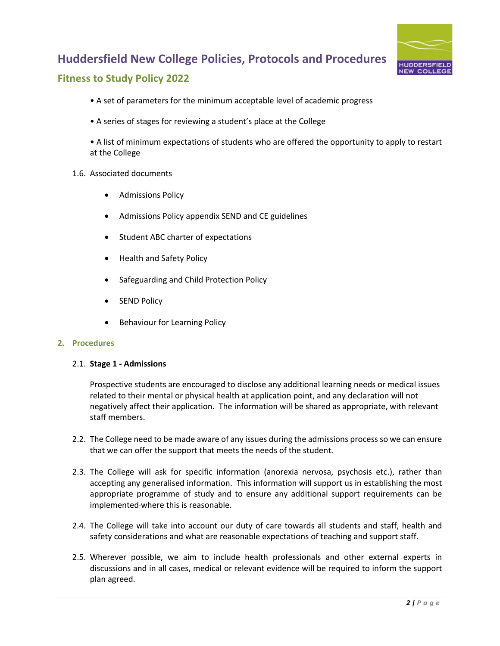

### **Fitness to Study Policy 2022**

- A set of parameters for the minimum acceptable level of academic progress
- A series of stages for reviewing a student's place at the College

• A list of minimum expectations of students who are offered the opportunity to apply to restart at the College

#### 1.6. Associated documents

- Admissions Policy
- Admissions Policy appendix SEND and CE guidelines
- Student ABC charter of expectations
- Health and Safety Policy
- Safeguarding and Child Protection Policy
- **SEND Policy**
- Behaviour for Learning Policy

#### **2. Procedures**

#### 2.1. **Stage 1 - Admissions**

Prospective students are encouraged to disclose any additional learning needs or medical issues related to their mental or physical health at application point, and any declaration will not negatively affect their application. The information will be shared as appropriate, with relevant staff members.

- 2.2. The College need to be made aware of any issues during the admissions process so we can ensure that we can offer the support that meets the needs of the student.
- 2.3. The College will ask for specific information (anorexia nervosa, psychosis etc.), rather than accepting any generalised information. This information will support us in establishing the most appropriate programme of study and to ensure any additional support requirements can be implemented-where this is reasonable.
- 2.4. The College will take into account our duty of care towards all students and staff, health and safety considerations and what are reasonable expectations of teaching and support staff.
- 2.5. Wherever possible, we aim to include health professionals and other external experts in discussions and in all cases, medical or relevant evidence will be required to inform the support plan agreed.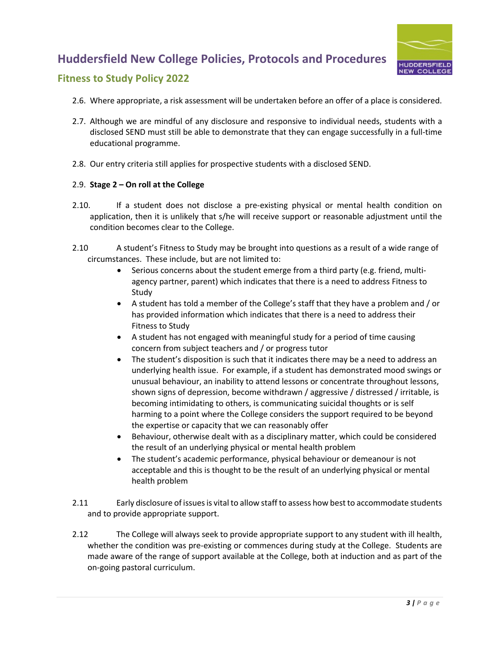

### **Fitness to Study Policy 2022**

- 2.6. Where appropriate, a risk assessment will be undertaken before an offer of a place is considered.
- 2.7. Although we are mindful of any disclosure and responsive to individual needs, students with a disclosed SEND must still be able to demonstrate that they can engage successfully in a full-time educational programme.
- 2.8. Our entry criteria still applies for prospective students with a disclosed SEND.

#### 2.9. **Stage 2 – On roll at the College**

- 2.10. If a student does not disclose a pre-existing physical or mental health condition on application, then it is unlikely that s/he will receive support or reasonable adjustment until the condition becomes clear to the College.
- 2.10 A student's Fitness to Study may be brought into questions as a result of a wide range of circumstances. These include, but are not limited to:
	- Serious concerns about the student emerge from a third party (e.g. friend, multiagency partner, parent) which indicates that there is a need to address Fitness to Study
	- A student has told a member of the College's staff that they have a problem and / or has provided information which indicates that there is a need to address their Fitness to Study
	- A student has not engaged with meaningful study for a period of time causing concern from subject teachers and / or progress tutor
	- The student's disposition is such that it indicates there may be a need to address an underlying health issue. For example, if a student has demonstrated mood swings or unusual behaviour, an inability to attend lessons or concentrate throughout lessons, shown signs of depression, become withdrawn / aggressive / distressed / irritable, is becoming intimidating to others, is communicating suicidal thoughts or is self harming to a point where the College considers the support required to be beyond the expertise or capacity that we can reasonably offer
	- Behaviour, otherwise dealt with as a disciplinary matter, which could be considered the result of an underlying physical or mental health problem
	- The student's academic performance, physical behaviour or demeanour is not acceptable and this is thought to be the result of an underlying physical or mental health problem
- 2.11 Early disclosure of issues is vital to allow staff to assess how best to accommodate students and to provide appropriate support.
- 2.12 The College will always seek to provide appropriate support to any student with ill health, whether the condition was pre-existing or commences during study at the College. Students are made aware of the range of support available at the College, both at induction and as part of the on-going pastoral curriculum.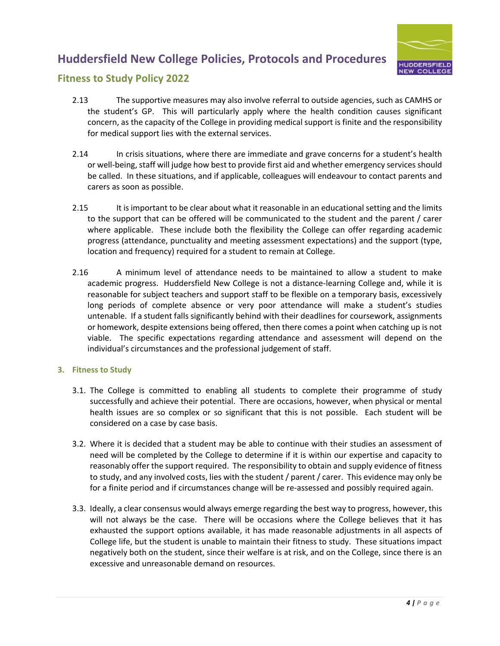

### **Fitness to Study Policy 2022**

- 2.13 The supportive measures may also involve referral to outside agencies, such as CAMHS or the student's GP. This will particularly apply where the health condition causes significant concern, as the capacity of the College in providing medical support is finite and the responsibility for medical support lies with the external services.
- 2.14 In crisis situations, where there are immediate and grave concerns for a student's health or well-being, staff will judge how best to provide first aid and whether emergency services should be called. In these situations, and if applicable, colleagues will endeavour to contact parents and carers as soon as possible.
- 2.15 It is important to be clear about what it reasonable in an educational setting and the limits to the support that can be offered will be communicated to the student and the parent / carer where applicable. These include both the flexibility the College can offer regarding academic progress (attendance, punctuality and meeting assessment expectations) and the support (type, location and frequency) required for a student to remain at College.
- 2.16 A minimum level of attendance needs to be maintained to allow a student to make academic progress. Huddersfield New College is not a distance-learning College and, while it is reasonable for subject teachers and support staff to be flexible on a temporary basis, excessively long periods of complete absence or very poor attendance will make a student's studies untenable. If a student falls significantly behind with their deadlines for coursework, assignments or homework, despite extensions being offered, then there comes a point when catching up is not viable. The specific expectations regarding attendance and assessment will depend on the individual's circumstances and the professional judgement of staff.

#### **3. Fitness to Study**

- 3.1. The College is committed to enabling all students to complete their programme of study successfully and achieve their potential. There are occasions, however, when physical or mental health issues are so complex or so significant that this is not possible. Each student will be considered on a case by case basis.
- 3.2. Where it is decided that a student may be able to continue with their studies an assessment of need will be completed by the College to determine if it is within our expertise and capacity to reasonably offer the support required. The responsibility to obtain and supply evidence of fitness to study, and any involved costs, lies with the student / parent / carer. This evidence may only be for a finite period and if circumstances change will be re-assessed and possibly required again.
- 3.3. Ideally, a clear consensus would always emerge regarding the best way to progress, however, this will not always be the case. There will be occasions where the College believes that it has exhausted the support options available, it has made reasonable adjustments in all aspects of College life, but the student is unable to maintain their fitness to study. These situations impact negatively both on the student, since their welfare is at risk, and on the College, since there is an excessive and unreasonable demand on resources.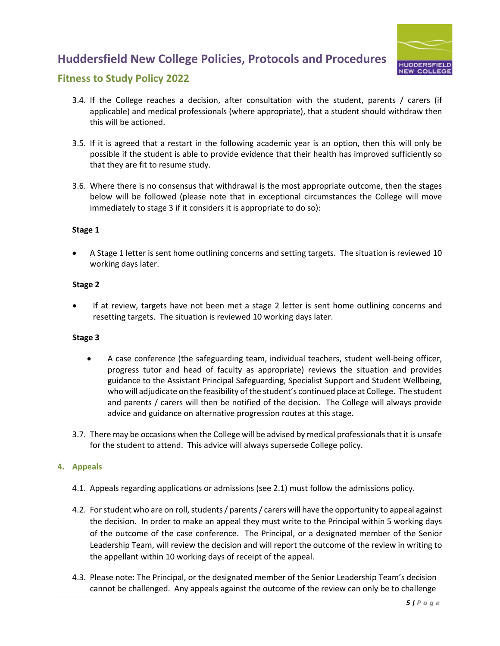

### **Fitness to Study Policy 2022**

- 3.4. If the College reaches a decision, after consultation with the student, parents / carers (if applicable) and medical professionals (where appropriate), that a student should withdraw then this will be actioned.
- 3.5. If it is agreed that a restart in the following academic year is an option, then this will only be possible if the student is able to provide evidence that their health has improved sufficiently so that they are fit to resume study.
- 3.6. Where there is no consensus that withdrawal is the most appropriate outcome, then the stages below will be followed (please note that in exceptional circumstances the College will move immediately to stage 3 if it considers it is appropriate to do so):

#### **Stage 1**

• A Stage 1 letter is sent home outlining concerns and setting targets. The situation is reviewed 10 working days later.

#### **Stage 2**

If at review, targets have not been met a stage 2 letter is sent home outlining concerns and resetting targets. The situation is reviewed 10 working days later.

#### **Stage 3**

- A case conference (the safeguarding team, individual teachers, student well-being officer, progress tutor and head of faculty as appropriate) reviews the situation and provides guidance to the Assistant Principal Safeguarding, Specialist Support and Student Wellbeing, who will adjudicate on the feasibility of the student's continued place at College. The student and parents / carers will then be notified of the decision. The College will always provide advice and guidance on alternative progression routes at this stage.
- 3.7. There may be occasions when the College will be advised by medical professionals that it is unsafe for the student to attend. This advice will always supersede College policy.

#### **4. Appeals**

- 4.1. Appeals regarding applications or admissions (see 2.1) must follow the admissions policy.
- 4.2. For student who are on roll, students/ parents/ carers will have the opportunity to appeal against the decision. In order to make an appeal they must write to the Principal within 5 working days of the outcome of the case conference. The Principal, or a designated member of the Senior Leadership Team, will review the decision and will report the outcome of the review in writing to the appellant within 10 working days of receipt of the appeal.
- 4.3. Please note: The Principal, or the designated member of the Senior Leadership Team's decision cannot be challenged. Any appeals against the outcome of the review can only be to challenge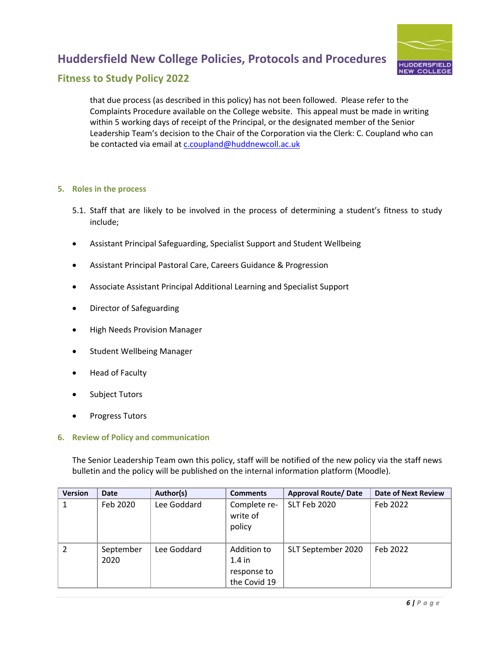

### **Fitness to Study Policy 2022**

that due process (as described in this policy) has not been followed. Please refer to the Complaints Procedure available on the College website. This appeal must be made in writing within 5 working days of receipt of the Principal, or the designated member of the Senior Leadership Team's decision to the Chair of the Corporation via the Clerk: C. Coupland who can be contacted via email at c.coupland@huddnewcoll.ac.uk

#### **5. Roles in the process**

- 5.1. Staff that are likely to be involved in the process of determining a student's fitness to study include;
- Assistant Principal Safeguarding, Specialist Support and Student Wellbeing
- Assistant Principal Pastoral Care, Careers Guidance & Progression
- Associate Assistant Principal Additional Learning and Specialist Support
- Director of Safeguarding
- High Needs Provision Manager
- Student Wellbeing Manager
- Head of Faculty
- Subject Tutors
- Progress Tutors

#### **6. Review of Policy and communication**

The Senior Leadership Team own this policy, staff will be notified of the new policy via the staff news bulletin and the policy will be published on the internal information platform (Moodle).

| <b>Version</b> | <b>Date</b>       | Author(s)   | <b>Comments</b>                                        | <b>Approval Route/ Date</b> | <b>Date of Next Review</b> |
|----------------|-------------------|-------------|--------------------------------------------------------|-----------------------------|----------------------------|
| 1              | Feb 2020          | Lee Goddard | Complete re-<br>write of<br>policy                     | SLT Feb 2020                | Feb 2022                   |
|                | September<br>2020 | Lee Goddard | Addition to<br>$1.4$ in<br>response to<br>the Covid 19 | SLT September 2020          | Feb 2022                   |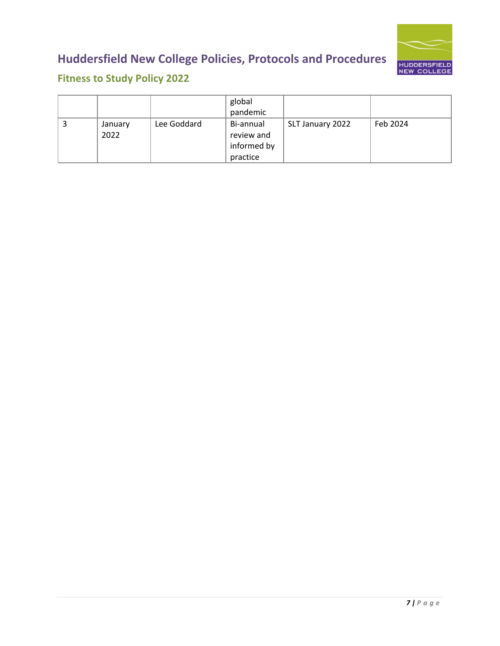

## **Fitness to Study Policy 2022**

|   |                 |             | global                                             |                  |          |
|---|-----------------|-------------|----------------------------------------------------|------------------|----------|
|   |                 |             | pandemic                                           |                  |          |
| Э | January<br>2022 | Lee Goddard | Bi-annual<br>review and<br>informed by<br>practice | SLT January 2022 | Feb 2024 |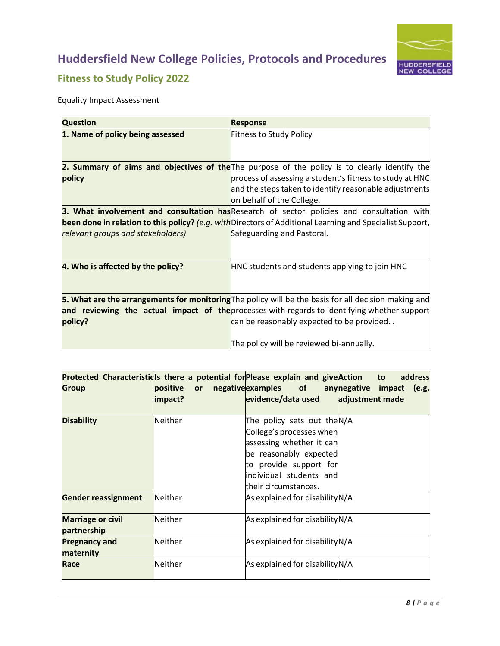

## **Fitness to Study Policy 2022**

Equality Impact Assessment

| <b>Question</b>                   | <b>Response</b>                                                                                           |
|-----------------------------------|-----------------------------------------------------------------------------------------------------------|
| 1. Name of policy being assessed  | <b>Fitness to Study Policy</b>                                                                            |
|                                   |                                                                                                           |
|                                   |                                                                                                           |
|                                   | 2. Summary of aims and objectives of the The purpose of the policy is to clearly identify the             |
| policy                            | process of assessing a student's fitness to study at HNC                                                  |
|                                   | and the steps taken to identify reasonable adjustments                                                    |
|                                   | on behalf of the College.                                                                                 |
|                                   | 3. What involvement and consultation has Research of sector policies and consultation with                |
|                                   | been done in relation to this policy? (e.g. with Directors of Additional Learning and Specialist Support, |
| relevant groups and stakeholders) | Safeguarding and Pastoral.                                                                                |
|                                   |                                                                                                           |
|                                   |                                                                                                           |
| 4. Who is affected by the policy? | HNC students and students applying to join HNC                                                            |
|                                   |                                                                                                           |
|                                   |                                                                                                           |
|                                   | 5. What are the arrangements for monitoring The policy will be the basis for all decision making and      |
|                                   | and reviewing the actual impact of the processes with regards to identifying whether support              |
| policy?                           | can be reasonably expected to be provided                                                                 |
|                                   |                                                                                                           |
|                                   | The policy will be reviewed bi-annually.                                                                  |

| Protected Characteristicss there a potential for Please explain and give Action to<br><b>Group</b> | positive or<br>impact? | evidence/data used                                                                                                                                                                        | address<br>negative examples of any negative impact (e.g.<br>adjustment made |
|----------------------------------------------------------------------------------------------------|------------------------|-------------------------------------------------------------------------------------------------------------------------------------------------------------------------------------------|------------------------------------------------------------------------------|
| <b>Disability</b>                                                                                  | Neither                | The policy sets out theN/A<br>College's processes when<br>assessing whether it can<br>be reasonably expected<br>to provide support for<br>individual students and<br>their circumstances. |                                                                              |
| <b>Gender reassignment</b>                                                                         | Neither                | As explained for disability N/A                                                                                                                                                           |                                                                              |
| <b>Marriage or civil</b><br>partnership                                                            | Neither                | As explained for disability N/A                                                                                                                                                           |                                                                              |
| <b>Pregnancy and</b><br>maternity                                                                  | Neither                | As explained for disability N/A                                                                                                                                                           |                                                                              |
| Race                                                                                               | Neither                | As explained for disability N/A                                                                                                                                                           |                                                                              |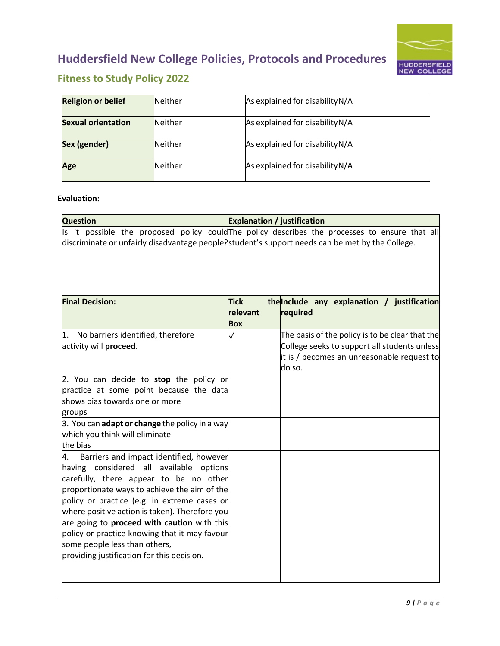

## **Fitness to Study Policy 2022**

| <b>Religion or belief</b> | <b>Neither</b> | As explained for disability N/A |  |
|---------------------------|----------------|---------------------------------|--|
| <b>Sexual orientation</b> | <b>Neither</b> | As explained for disability N/A |  |
| Sex (gender)              | <b>Neither</b> | As explained for disability N/A |  |
| Age                       | Neither        | As explained for disability N/A |  |

### **Evaluation:**

| <b>Question</b>                                                                                                                                                                                                                                                                                                                                                                                                                                                            | <b>Explanation / justification</b>    |                                                                                                                                                         |
|----------------------------------------------------------------------------------------------------------------------------------------------------------------------------------------------------------------------------------------------------------------------------------------------------------------------------------------------------------------------------------------------------------------------------------------------------------------------------|---------------------------------------|---------------------------------------------------------------------------------------------------------------------------------------------------------|
| Is it possible the proposed policy could The policy describes the processes to ensure that all<br>discriminate or unfairly disadvantage people? student's support needs can be met by the College.                                                                                                                                                                                                                                                                         |                                       |                                                                                                                                                         |
| <b>Final Decision:</b>                                                                                                                                                                                                                                                                                                                                                                                                                                                     | <b>Tick</b><br>relevant<br><b>Box</b> | the Include any explanation / justification<br>required                                                                                                 |
| No barriers identified, therefore<br>$\mathbf{1}$ .<br>activity will proceed.                                                                                                                                                                                                                                                                                                                                                                                              | $\checkmark$                          | The basis of the policy is to be clear that the<br>College seeks to support all students unless<br>it is / becomes an unreasonable request to<br>do so. |
| 2. You can decide to stop the policy or<br>practice at some point because the data<br>shows bias towards one or more<br>groups                                                                                                                                                                                                                                                                                                                                             |                                       |                                                                                                                                                         |
| 3. You can adapt or change the policy in a way<br>which you think will eliminate<br>the bias                                                                                                                                                                                                                                                                                                                                                                               |                                       |                                                                                                                                                         |
| 4.<br>Barriers and impact identified, however<br>having considered all available options<br>carefully, there appear to be no other<br>proportionate ways to achieve the aim of the<br>policy or practice (e.g. in extreme cases or<br>where positive action is taken). Therefore you<br>are going to <b>proceed with caution</b> with this<br>policy or practice knowing that it may favour<br>some people less than others,<br>providing justification for this decision. |                                       |                                                                                                                                                         |